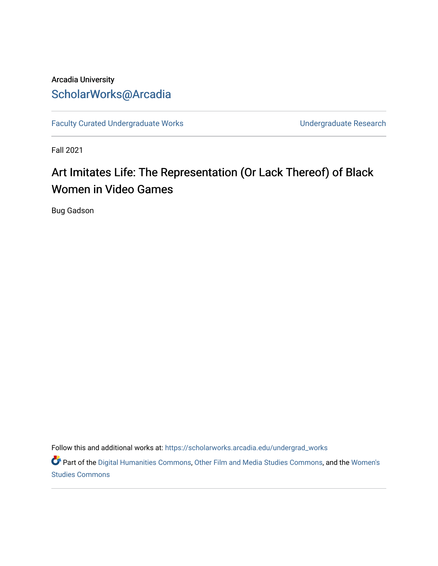# Arcadia University [ScholarWorks@Arcadia](https://scholarworks.arcadia.edu/)

[Faculty Curated Undergraduate Works](https://scholarworks.arcadia.edu/undergrad_works) **Example 20 Faculty Curated Undergraduate Research** 

Fall 2021

# Art Imitates Life: The Representation (Or Lack Thereof) of Black Women in Video Games

Bug Gadson

Follow this and additional works at: [https://scholarworks.arcadia.edu/undergrad\\_works](https://scholarworks.arcadia.edu/undergrad_works?utm_source=scholarworks.arcadia.edu%2Fundergrad_works%2F1&utm_medium=PDF&utm_campaign=PDFCoverPages)

Part of the [Digital Humanities Commons](http://network.bepress.com/hgg/discipline/1286?utm_source=scholarworks.arcadia.edu%2Fundergrad_works%2F1&utm_medium=PDF&utm_campaign=PDFCoverPages), [Other Film and Media Studies Commons](http://network.bepress.com/hgg/discipline/565?utm_source=scholarworks.arcadia.edu%2Fundergrad_works%2F1&utm_medium=PDF&utm_campaign=PDFCoverPages), and the [Women's](http://network.bepress.com/hgg/discipline/561?utm_source=scholarworks.arcadia.edu%2Fundergrad_works%2F1&utm_medium=PDF&utm_campaign=PDFCoverPages) [Studies Commons](http://network.bepress.com/hgg/discipline/561?utm_source=scholarworks.arcadia.edu%2Fundergrad_works%2F1&utm_medium=PDF&utm_campaign=PDFCoverPages)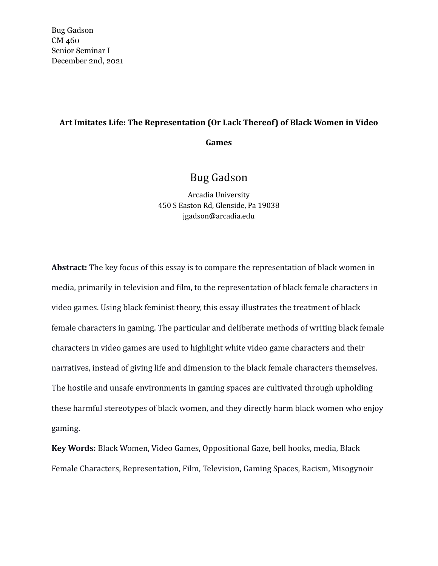#### **Art Imitates Life: The Representation (Or Lack Thereof) of Black Women in Video**

**Games**

## Bug Gadson

Arcadia University 450 S Easton Rd, Glenside, Pa 19038 jgadson@arcadia.edu

**Abstract:** The key focus of this essay is to compare the representation of black women in media, primarily in television and film, to the representation of black female characters in video games. Using black feminist theory, this essay illustrates the treatment of black female characters in gaming. The particular and deliberate methods of writing black female characters in video games are used to highlight white video game characters and their narratives, instead of giving life and dimension to the black female characters themselves. The hostile and unsafe environments in gaming spaces are cultivated through upholding these harmful stereotypes of black women, and they directly harm black women who enjoy gaming.

**Key Words:** Black Women, Video Games, Oppositional Gaze, bell hooks, media, Black Female Characters, Representation, Film, Television, Gaming Spaces, Racism, Misogynoir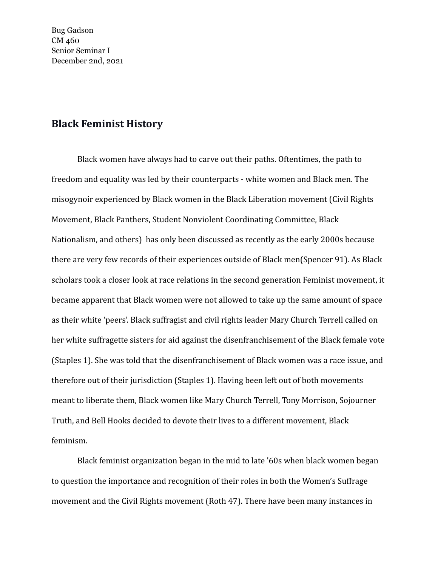#### **Black Feminist History**

Black women have always had to carve out their paths. Oftentimes, the path to freedom and equality was led by their counterparts - white women and Black men. The misogynoir experienced by Black women in the Black Liberation movement (Civil Rights Movement, Black Panthers, Student Nonviolent Coordinating Committee, Black Nationalism, and others) has only been discussed as recently as the early 2000s because there are very few records of their experiences outside of Black men(Spencer 91). As Black scholars took a closer look at race relations in the second generation Feminist movement, it became apparent that Black women were not allowed to take up the same amount of space as their white 'peers'. Black suffragist and civil rights leader Mary Church Terrell called on her white suffragette sisters for aid against the disenfranchisement of the Black female vote (Staples 1). She was told that the disenfranchisement of Black women was a race issue, and therefore out of their jurisdiction (Staples 1). Having been left out of both movements meant to liberate them, Black women like Mary Church Terrell, Tony Morrison, Sojourner Truth, and Bell Hooks decided to devote their lives to a different movement, Black feminism.

Black feminist organization began in the mid to late '60s when black women began to question the importance and recognition of their roles in both the Women's Suffrage movement and the Civil Rights movement (Roth 47). There have been many instances in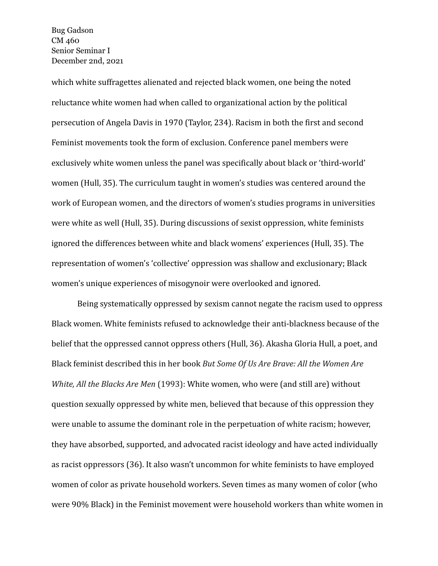which white suffragettes alienated and rejected black women, one being the noted reluctance white women had when called to organizational action by the political persecution of Angela Davis in 1970 (Taylor, 234). Racism in both the first and second Feminist movements took the form of exclusion. Conference panel members were exclusively white women unless the panel was specifically about black or 'third-world' women (Hull, 35). The curriculum taught in women's studies was centered around the work of European women, and the directors of women's studies programs in universities were white as well (Hull, 35). During discussions of sexist oppression, white feminists ignored the differences between white and black womens' experiences (Hull, 35). The representation of women's 'collective' oppression was shallow and exclusionary; Black women's unique experiences of misogynoir were overlooked and ignored.

Being systematically oppressed by sexism cannot negate the racism used to oppress Black women. White feminists refused to acknowledge their anti-blackness because of the belief that the oppressed cannot oppress others (Hull, 36). Akasha Gloria Hull, a poet, and Black feminist described this in her book *But Some Of Us Are Brave: All the Women Are White, All the Blacks Are Men* (1993): White women, who were (and still are) without question sexually oppressed by white men, believed that because of this oppression they were unable to assume the dominant role in the perpetuation of white racism; however, they have absorbed, supported, and advocated racist ideology and have acted individually as racist oppressors (36). It also wasn't uncommon for white feminists to have employed women of color as private household workers. Seven times as many women of color (who were 90% Black) in the Feminist movement were household workers than white women in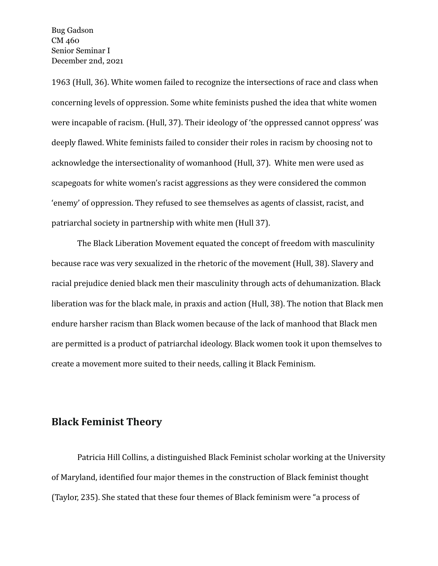1963 (Hull, 36). White women failed to recognize the intersections of race and class when concerning levels of oppression. Some white feminists pushed the idea that white women were incapable of racism. (Hull, 37). Their ideology of 'the oppressed cannot oppress' was deeply flawed. White feminists failed to consider their roles in racism by choosing not to acknowledge the intersectionality of womanhood (Hull, 37). White men were used as scapegoats for white women's racist aggressions as they were considered the common 'enemy' of oppression. They refused to see themselves as agents of classist, racist, and patriarchal society in partnership with white men (Hull 37).

The Black Liberation Movement equated the concept of freedom with masculinity because race was very sexualized in the rhetoric of the movement (Hull, 38). Slavery and racial prejudice denied black men their masculinity through acts of dehumanization. Black liberation was for the black male, in praxis and action (Hull, 38). The notion that Black men endure harsher racism than Black women because of the lack of manhood that Black men are permitted is a product of patriarchal ideology. Black women took it upon themselves to create a movement more suited to their needs, calling it Black Feminism.

#### **Black Feminist Theory**

Patricia Hill Collins, a distinguished Black Feminist scholar working at the University of Maryland, identified four major themes in the construction of Black feminist thought (Taylor, 235). She stated that these four themes of Black feminism were "a process of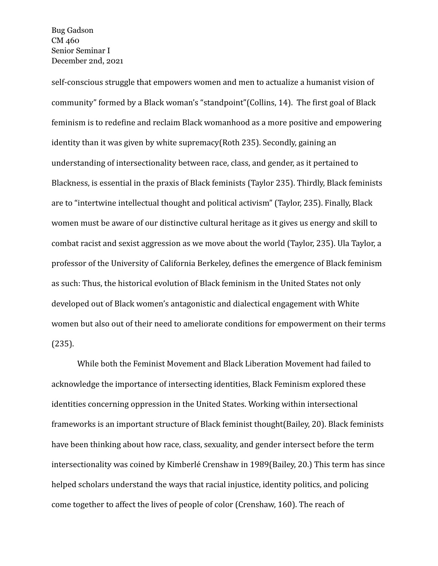self-conscious struggle that empowers women and men to actualize a humanist vision of community" formed by a Black woman's "standpoint"(Collins, 14). The first goal of Black feminism is to redefine and reclaim Black womanhood as a more positive and empowering identity than it was given by white supremacy(Roth 235). Secondly, gaining an understanding of intersectionality between race, class, and gender, as it pertained to Blackness, is essential in the praxis of Black feminists (Taylor 235). Thirdly, Black feminists are to "intertwine intellectual thought and political activism" (Taylor, 235). Finally, Black women must be aware of our distinctive cultural heritage as it gives us energy and skill to combat racist and sexist aggression as we move about the world (Taylor, 235). Ula Taylor, a professor of the University of California Berkeley, defines the emergence of Black feminism as such: Thus, the historical evolution of Black feminism in the United States not only developed out of Black women's antagonistic and dialectical engagement with White women but also out of their need to ameliorate conditions for empowerment on their terms (235).

While both the Feminist Movement and Black Liberation Movement had failed to acknowledge the importance of intersecting identities, Black Feminism explored these identities concerning oppression in the United States. Working within intersectional frameworks is an important structure of Black feminist thought(Bailey, 20). Black feminists have been thinking about how race, class, sexuality, and gender intersect before the term intersectionality was coined by Kimberlé Crenshaw in 1989(Bailey, 20.) This term has since helped scholars understand the ways that racial injustice, identity politics, and policing come together to affect the lives of people of color (Crenshaw, 160). The reach of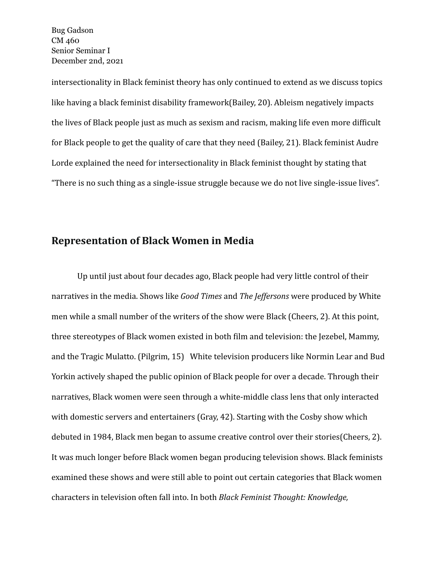intersectionality in Black feminist theory has only continued to extend as we discuss topics like having a black feminist disability framework(Bailey, 20). Ableism negatively impacts the lives of Black people just as much as sexism and racism, making life even more difficult for Black people to get the quality of care that they need (Bailey, 21). Black feminist Audre Lorde explained the need for intersectionality in Black feminist thought by stating that "There is no such thing as a single-issue struggle because we do not live single-issue lives".

#### **Representation of Black Women in Media**

Up until just about four decades ago, Black people had very little control of their narratives in the media. Shows like *Good Times* and *The Jeffersons* were produced by White men while a small number of the writers of the show were Black (Cheers, 2). At this point, three stereotypes of Black women existed in both film and television: the Jezebel, Mammy, and the Tragic Mulatto. (Pilgrim, 15) White television producers like Normin Lear and Bud Yorkin actively shaped the public opinion of Black people for over a decade. Through their narratives, Black women were seen through a white-middle class lens that only interacted with domestic servers and entertainers (Gray, 42). Starting with the Cosby show which debuted in 1984, Black men began to assume creative control over their stories(Cheers, 2). It was much longer before Black women began producing television shows. Black feminists examined these shows and were still able to point out certain categories that Black women characters in television often fall into. In both *Black Feminist Thought: Knowledge,*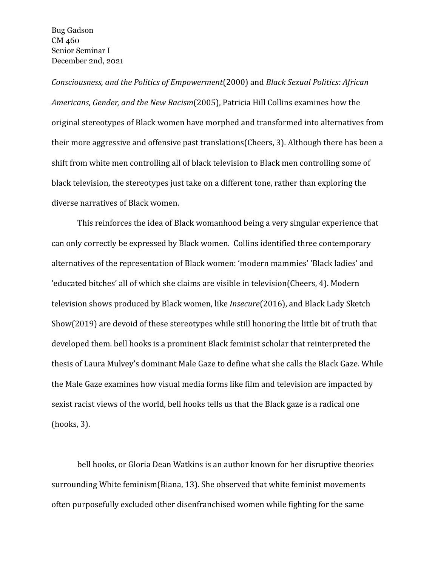*Consciousness, and the Politics of Empowerment*(2000) and *Black Sexual Politics: African Americans, Gender, and the New Racism*(2005), Patricia Hill Collins examines how the original stereotypes of Black women have morphed and transformed into alternatives from their more aggressive and offensive past translations(Cheers, 3). Although there has been a shift from white men controlling all of black television to Black men controlling some of black television, the stereotypes just take on a different tone, rather than exploring the diverse narratives of Black women.

This reinforces the idea of Black womanhood being a very singular experience that can only correctly be expressed by Black women. Collins identified three contemporary alternatives of the representation of Black women: 'modern mammies' 'Black ladies' and 'educated bitches' all of which she claims are visible in television(Cheers, 4). Modern television shows produced by Black women, like *Insecure*(2016), and Black Lady Sketch Show(2019) are devoid of these stereotypes while still honoring the little bit of truth that developed them. bell hooks is a prominent Black feminist scholar that reinterpreted the thesis of Laura Mulvey's dominant Male Gaze to define what she calls the Black Gaze. While the Male Gaze examines how visual media forms like film and television are impacted by sexist racist views of the world, bell hooks tells us that the Black gaze is a radical one (hooks, 3).

bell hooks, or Gloria Dean Watkins is an author known for her disruptive theories surrounding White feminism(Biana, 13). She observed that white feminist movements often purposefully excluded other disenfranchised women while fighting for the same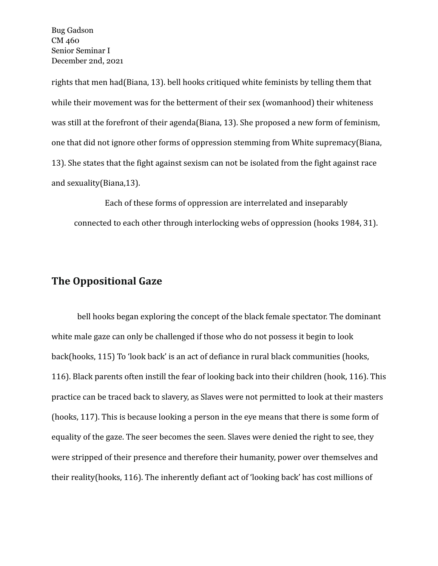rights that men had(Biana, 13). bell hooks critiqued white feminists by telling them that while their movement was for the betterment of their sex (womanhood) their whiteness was still at the forefront of their agenda(Biana, 13). She proposed a new form of feminism, one that did not ignore other forms of oppression stemming from White supremacy(Biana, 13). She states that the fight against sexism can not be isolated from the fight against race and sexuality(Biana,13).

Each of these forms of oppression are interrelated and inseparably connected to each other through interlocking webs of oppression (hooks 1984, 31).

## **The Oppositional Gaze**

bell hooks began exploring the concept of the black female spectator. The dominant white male gaze can only be challenged if those who do not possess it begin to look back(hooks, 115) To 'look back' is an act of defiance in rural black communities (hooks, 116). Black parents often instill the fear of looking back into their children (hook, 116). This practice can be traced back to slavery, as Slaves were not permitted to look at their masters (hooks, 117). This is because looking a person in the eye means that there is some form of equality of the gaze. The seer becomes the seen. Slaves were denied the right to see, they were stripped of their presence and therefore their humanity, power over themselves and their reality(hooks, 116). The inherently defiant act of 'looking back' has cost millions of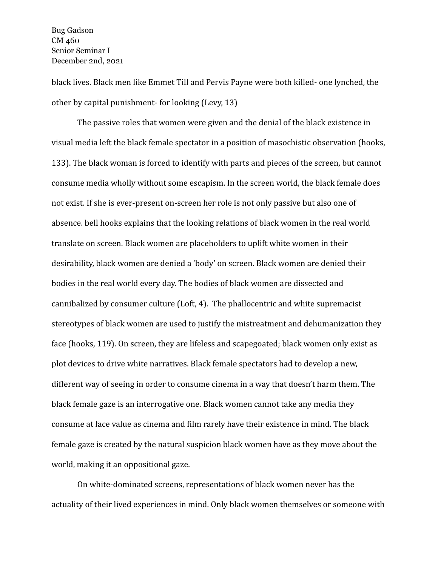black lives. Black men like Emmet Till and Pervis Payne were both killed- one lynched, the other by capital punishment- for looking (Levy, 13)

The passive roles that women were given and the denial of the black existence in visual media left the black female spectator in a position of masochistic observation (hooks, 133). The black woman is forced to identify with parts and pieces of the screen, but cannot consume media wholly without some escapism. In the screen world, the black female does not exist. If she is ever-present on-screen her role is not only passive but also one of absence. bell hooks explains that the looking relations of black women in the real world translate on screen. Black women are placeholders to uplift white women in their desirability, black women are denied a 'body' on screen. Black women are denied their bodies in the real world every day. The bodies of black women are dissected and cannibalized by consumer culture (Loft, 4). The phallocentric and white supremacist stereotypes of black women are used to justify the mistreatment and dehumanization they face (hooks, 119). On screen, they are lifeless and scapegoated; black women only exist as plot devices to drive white narratives. Black female spectators had to develop a new, different way of seeing in order to consume cinema in a way that doesn't harm them. The black female gaze is an interrogative one. Black women cannot take any media they consume at face value as cinema and film rarely have their existence in mind. The black female gaze is created by the natural suspicion black women have as they move about the world, making it an oppositional gaze.

On white-dominated screens, representations of black women never has the actuality of their lived experiences in mind. Only black women themselves or someone with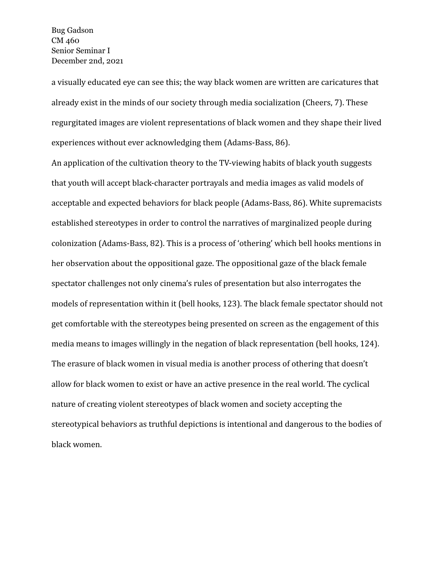a visually educated eye can see this; the way black women are written are caricatures that already exist in the minds of our society through media socialization (Cheers, 7). These regurgitated images are violent representations of black women and they shape their lived experiences without ever acknowledging them (Adams-Bass, 86).

An application of the cultivation theory to the TV-viewing habits of black youth suggests that youth will accept black-character portrayals and media images as valid models of acceptable and expected behaviors for black people (Adams-Bass, 86). White supremacists established stereotypes in order to control the narratives of marginalized people during colonization (Adams-Bass, 82). This is a process of 'othering' which bell hooks mentions in her observation about the oppositional gaze. The oppositional gaze of the black female spectator challenges not only cinema's rules of presentation but also interrogates the models of representation within it (bell hooks, 123). The black female spectator should not get comfortable with the stereotypes being presented on screen as the engagement of this media means to images willingly in the negation of black representation (bell hooks, 124). The erasure of black women in visual media is another process of othering that doesn't allow for black women to exist or have an active presence in the real world. The cyclical nature of creating violent stereotypes of black women and society accepting the stereotypical behaviors as truthful depictions is intentional and dangerous to the bodies of black women.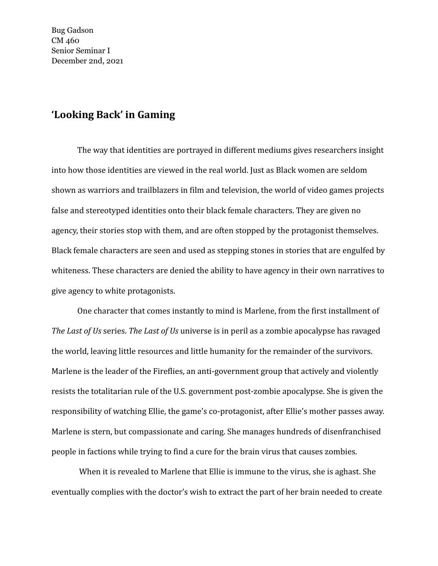### **'Looking Back' in Gaming**

The way that identities are portrayed in different mediums gives researchers insight into how those identities are viewed in the real world. Just as Black women are seldom shown as warriors and trailblazers in film and television, the world of video games projects false and stereotyped identities onto their black female characters. They are given no agency, their stories stop with them, and are often stopped by the protagonist themselves. Black female characters are seen and used as stepping stones in stories that are engulfed by whiteness. These characters are denied the ability to have agency in their own narratives to give agency to white protagonists.

One character that comes instantly to mind is Marlene, from the first installment of *The Last of Us* series. *The Last of Us* universe is in peril as a zombie apocalypse has ravaged the world, leaving little resources and little humanity for the remainder of the survivors. Marlene is the leader of the Fireflies, an anti-government group that actively and violently resists the totalitarian rule of the U.S. government post-zombie apocalypse. She is given the responsibility of watching Ellie, the game's co-protagonist, after Ellie's mother passes away. Marlene is stern, but compassionate and caring. She manages hundreds of disenfranchised people in factions while trying to find a cure for the brain virus that causes zombies.

When it is revealed to Marlene that Ellie is immune to the virus, she is aghast. She eventually complies with the doctor's wish to extract the part of her brain needed to create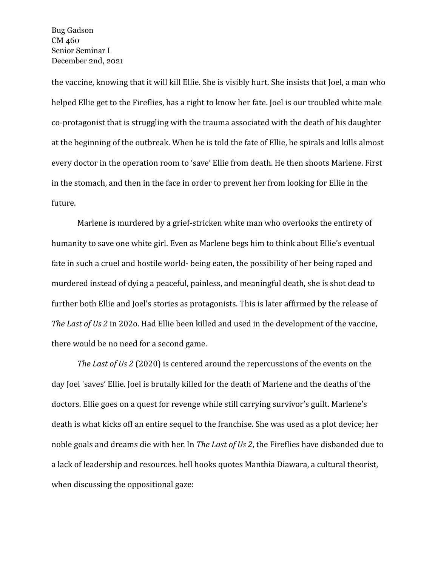the vaccine, knowing that it will kill Ellie. She is visibly hurt. She insists that Joel, a man who helped Ellie get to the Fireflies, has a right to know her fate. Joel is our troubled white male co-protagonist that is struggling with the trauma associated with the death of his daughter at the beginning of the outbreak. When he is told the fate of Ellie, he spirals and kills almost every doctor in the operation room to 'save' Ellie from death. He then shoots Marlene. First in the stomach, and then in the face in order to prevent her from looking for Ellie in the future.

Marlene is murdered by a grief-stricken white man who overlooks the entirety of humanity to save one white girl. Even as Marlene begs him to think about Ellie's eventual fate in such a cruel and hostile world- being eaten, the possibility of her being raped and murdered instead of dying a peaceful, painless, and meaningful death, she is shot dead to further both Ellie and Joel's stories as protagonists. This is later affirmed by the release of *The Last of Us 2* in 202o. Had Ellie been killed and used in the development of the vaccine, there would be no need for a second game.

*The Last of Us 2* (2020) is centered around the repercussions of the events on the day Joel 'saves' Ellie. Joel is brutally killed for the death of Marlene and the deaths of the doctors. Ellie goes on a quest for revenge while still carrying survivor's guilt. Marlene's death is what kicks off an entire sequel to the franchise. She was used as a plot device; her noble goals and dreams die with her. In *The Last of Us 2*, the Fireflies have disbanded due to a lack of leadership and resources. bell hooks quotes Manthia Diawara, a cultural theorist, when discussing the oppositional gaze: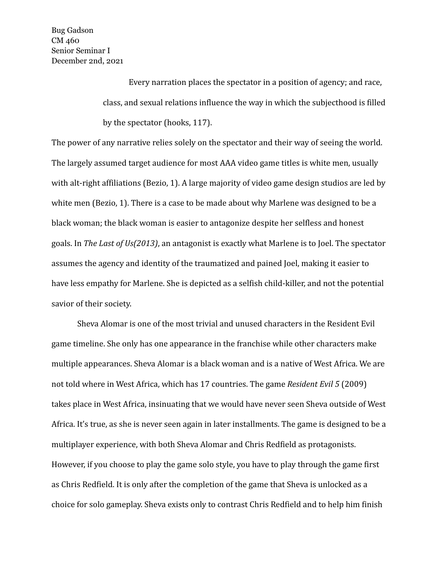> Every narration places the spectator in a position of agency; and race, class, and sexual relations influence the way in which the subjecthood is filled by the spectator (hooks, 117).

The power of any narrative relies solely on the spectator and their way of seeing the world. The largely assumed target audience for most AAA video game titles is white men, usually with alt-right affiliations (Bezio, 1). A large majority of video game design studios are led by white men (Bezio, 1). There is a case to be made about why Marlene was designed to be a black woman; the black woman is easier to antagonize despite her selfless and honest goals. In *The Last of Us(2013)*, an antagonist is exactly what Marlene is to Joel. The spectator assumes the agency and identity of the traumatized and pained Joel, making it easier to have less empathy for Marlene. She is depicted as a selfish child-killer, and not the potential savior of their society.

Sheva Alomar is one of the most trivial and unused characters in the Resident Evil game timeline. She only has one appearance in the franchise while other characters make multiple appearances. Sheva Alomar is a black woman and is a native of West Africa. We are not told where in West Africa, which has 17 countries. The game *Resident Evil 5* (2009) takes place in West Africa, insinuating that we would have never seen Sheva outside of West Africa. It's true, as she is never seen again in later installments. The game is designed to be a multiplayer experience, with both Sheva Alomar and Chris Redfield as protagonists. However, if you choose to play the game solo style, you have to play through the game first as Chris Redfield. It is only after the completion of the game that Sheva is unlocked as a choice for solo gameplay. Sheva exists only to contrast Chris Redfield and to help him finish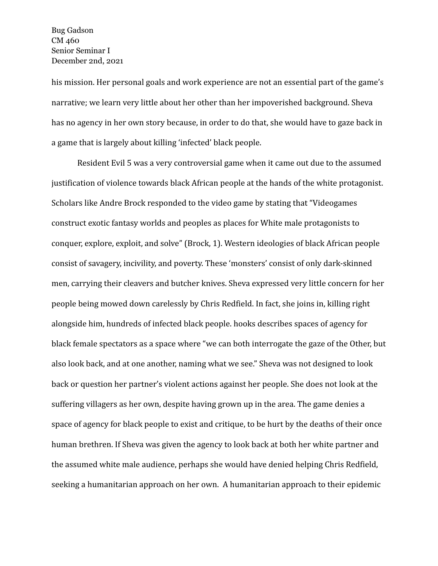his mission. Her personal goals and work experience are not an essential part of the game's narrative; we learn very little about her other than her impoverished background. Sheva has no agency in her own story because, in order to do that, she would have to gaze back in a game that is largely about killing 'infected' black people.

Resident Evil 5 was a very controversial game when it came out due to the assumed justification of violence towards black African people at the hands of the white protagonist. Scholars like Andre Brock responded to the video game by stating that "Videogames construct exotic fantasy worlds and peoples as places for White male protagonists to conquer, explore, exploit, and solve" (Brock, 1). Western ideologies of black African people consist of savagery, incivility, and poverty. These 'monsters' consist of only dark-skinned men, carrying their cleavers and butcher knives. Sheva expressed very little concern for her people being mowed down carelessly by Chris Redfield. In fact, she joins in, killing right alongside him, hundreds of infected black people. hooks describes spaces of agency for black female spectators as a space where "we can both interrogate the gaze of the Other, but also look back, and at one another, naming what we see." Sheva was not designed to look back or question her partner's violent actions against her people. She does not look at the suffering villagers as her own, despite having grown up in the area. The game denies a space of agency for black people to exist and critique, to be hurt by the deaths of their once human brethren. If Sheva was given the agency to look back at both her white partner and the assumed white male audience, perhaps she would have denied helping Chris Redfield, seeking a humanitarian approach on her own. A humanitarian approach to their epidemic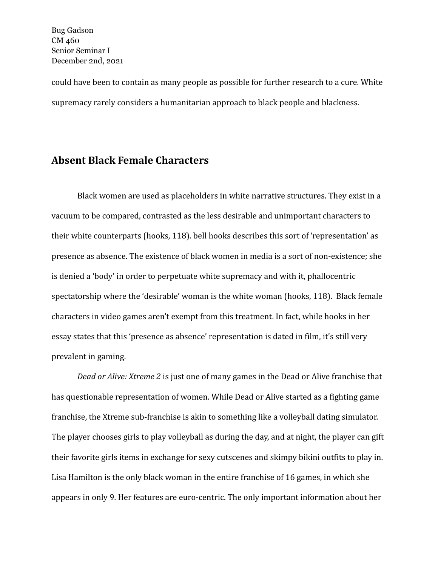could have been to contain as many people as possible for further research to a cure. White supremacy rarely considers a humanitarian approach to black people and blackness.

#### **Absent Black Female Characters**

Black women are used as placeholders in white narrative structures. They exist in a vacuum to be compared, contrasted as the less desirable and unimportant characters to their white counterparts (hooks, 118). bell hooks describes this sort of 'representation' as presence as absence. The existence of black women in media is a sort of non-existence; she is denied a 'body' in order to perpetuate white supremacy and with it, phallocentric spectatorship where the 'desirable' woman is the white woman (hooks, 118). Black female characters in video games aren't exempt from this treatment. In fact, while hooks in her essay states that this 'presence as absence' representation is dated in film, it's still very prevalent in gaming.

*Dead or Alive: Xtreme 2* is just one of many games in the Dead or Alive franchise that has questionable representation of women. While Dead or Alive started as a fighting game franchise, the Xtreme sub-franchise is akin to something like a volleyball dating simulator. The player chooses girls to play volleyball as during the day, and at night, the player can gift their favorite girls items in exchange for sexy cutscenes and skimpy bikini outfits to play in. Lisa Hamilton is the only black woman in the entire franchise of 16 games, in which she appears in only 9. Her features are euro-centric. The only important information about her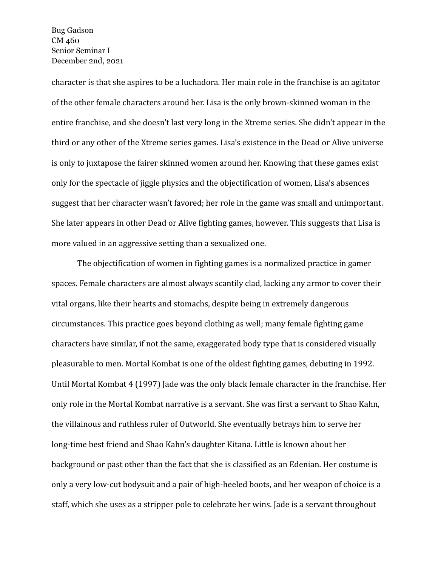character is that she aspires to be a luchadora. Her main role in the franchise is an agitator of the other female characters around her. Lisa is the only brown-skinned woman in the entire franchise, and she doesn't last very long in the Xtreme series. She didn't appear in the third or any other of the Xtreme series games. Lisa's existence in the Dead or Alive universe is only to juxtapose the fairer skinned women around her. Knowing that these games exist only for the spectacle of jiggle physics and the objectification of women, Lisa's absences suggest that her character wasn't favored; her role in the game was small and unimportant. She later appears in other Dead or Alive fighting games, however. This suggests that Lisa is more valued in an aggressive setting than a sexualized one.

The objectification of women in fighting games is a normalized practice in gamer spaces. Female characters are almost always scantily clad, lacking any armor to cover their vital organs, like their hearts and stomachs, despite being in extremely dangerous circumstances. This practice goes beyond clothing as well; many female fighting game characters have similar, if not the same, exaggerated body type that is considered visually pleasurable to men. Mortal Kombat is one of the oldest fighting games, debuting in 1992. Until Mortal Kombat 4 (1997) Jade was the only black female character in the franchise. Her only role in the Mortal Kombat narrative is a servant. She was first a servant to Shao Kahn, the villainous and ruthless ruler of Outworld. She eventually betrays him to serve her long-time best friend and Shao Kahn's daughter Kitana. Little is known about her background or past other than the fact that she is classified as an Edenian. Her costume is only a very low-cut bodysuit and a pair of high-heeled boots, and her weapon of choice is a staff, which she uses as a stripper pole to celebrate her wins. Jade is a servant throughout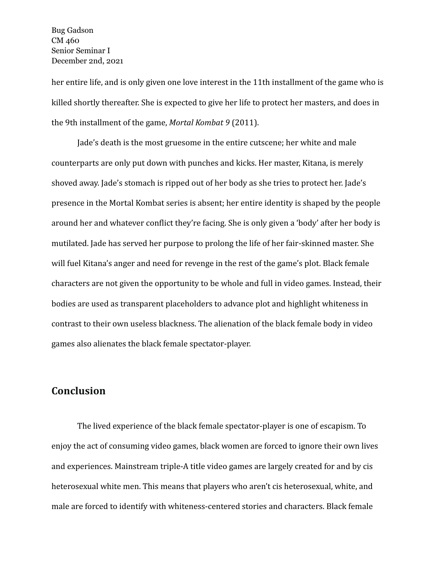her entire life, and is only given one love interest in the 11th installment of the game who is killed shortly thereafter. She is expected to give her life to protect her masters, and does in the 9th installment of the game, *Mortal Kombat 9* (2011).

Jade's death is the most gruesome in the entire cutscene; her white and male counterparts are only put down with punches and kicks. Her master, Kitana, is merely shoved away. Jade's stomach is ripped out of her body as she tries to protect her. Jade's presence in the Mortal Kombat series is absent; her entire identity is shaped by the people around her and whatever conflict they're facing. She is only given a 'body' after her body is mutilated. Jade has served her purpose to prolong the life of her fair-skinned master. She will fuel Kitana's anger and need for revenge in the rest of the game's plot. Black female characters are not given the opportunity to be whole and full in video games. Instead, their bodies are used as transparent placeholders to advance plot and highlight whiteness in contrast to their own useless blackness. The alienation of the black female body in video games also alienates the black female spectator-player.

### **Conclusion**

The lived experience of the black female spectator-player is one of escapism. To enjoy the act of consuming video games, black women are forced to ignore their own lives and experiences. Mainstream triple-A title video games are largely created for and by cis heterosexual white men. This means that players who aren't cis heterosexual, white, and male are forced to identify with whiteness-centered stories and characters. Black female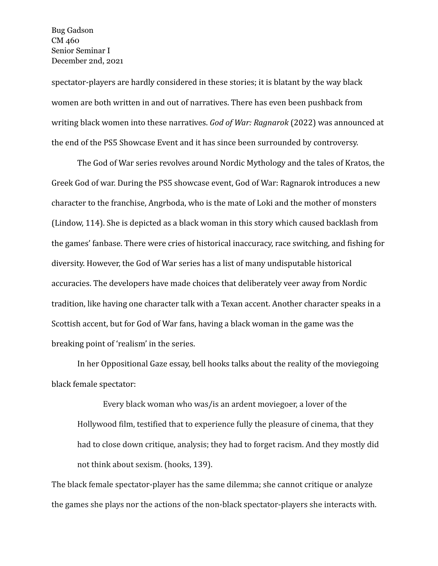spectator-players are hardly considered in these stories; it is blatant by the way black women are both written in and out of narratives. There has even been pushback from writing black women into these narratives. *God of War: Ragnarok* (2022) was announced at the end of the PS5 Showcase Event and it has since been surrounded by controversy.

The God of War series revolves around Nordic Mythology and the tales of Kratos, the Greek God of war. During the PS5 showcase event, God of War: Ragnarok introduces a new character to the franchise, Angrboda, who is the mate of Loki and the mother of monsters (Lindow, 114). She is depicted as a black woman in this story which caused backlash from the games' fanbase. There were cries of historical inaccuracy, race switching, and fishing for diversity. However, the God of War series has a list of many undisputable historical accuracies. The developers have made choices that deliberately veer away from Nordic tradition, like having one character talk with a Texan accent. Another character speaks in a Scottish accent, but for God of War fans, having a black woman in the game was the breaking point of 'realism' in the series.

In her Oppositional Gaze essay, bell hooks talks about the reality of the moviegoing black female spectator:

Every black woman who was/is an ardent moviegoer, a lover of the Hollywood film, testified that to experience fully the pleasure of cinema, that they had to close down critique, analysis; they had to forget racism. And they mostly did not think about sexism. (hooks, 139).

The black female spectator-player has the same dilemma; she cannot critique or analyze the games she plays nor the actions of the non-black spectator-players she interacts with.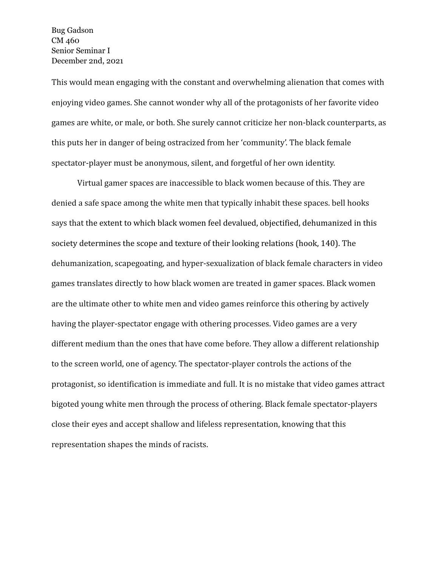This would mean engaging with the constant and overwhelming alienation that comes with enjoying video games. She cannot wonder why all of the protagonists of her favorite video games are white, or male, or both. She surely cannot criticize her non-black counterparts, as this puts her in danger of being ostracized from her 'community'. The black female spectator-player must be anonymous, silent, and forgetful of her own identity.

Virtual gamer spaces are inaccessible to black women because of this. They are denied a safe space among the white men that typically inhabit these spaces. bell hooks says that the extent to which black women feel devalued, objectified, dehumanized in this society determines the scope and texture of their looking relations (hook, 140). The dehumanization, scapegoating, and hyper-sexualization of black female characters in video games translates directly to how black women are treated in gamer spaces. Black women are the ultimate other to white men and video games reinforce this othering by actively having the player-spectator engage with othering processes. Video games are a very different medium than the ones that have come before. They allow a different relationship to the screen world, one of agency. The spectator-player controls the actions of the protagonist, so identification is immediate and full. It is no mistake that video games attract bigoted young white men through the process of othering. Black female spectator-players close their eyes and accept shallow and lifeless representation, knowing that this representation shapes the minds of racists.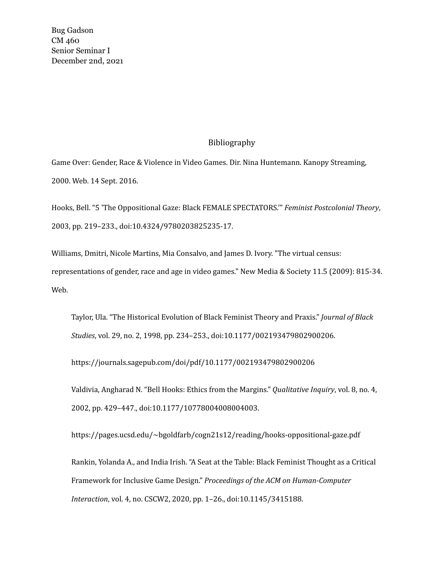#### Bibliography

Game Over: Gender, Race & Violence in Video Games. Dir. Nina Huntemann. Kanopy Streaming, 2000. Web. 14 Sept. 2016.

Hooks, Bell. "5 'The Oppositional Gaze: Black FEMALE SPECTATORS.'" *Feminist Postcolonial Theory*, 2003, pp. 219–233., doi:10.4324/9780203825235-17.

Williams, Dmitri, Nicole Martins, Mia Consalvo, and James D. Ivory. "The virtual census: representations of gender, race and age in video games." New Media & Society 11.5 (2009): 815-34. Web.

Taylor, Ula. "The Historical Evolution of Black Feminist Theory and Praxis." *Journal of Black Studies*, vol. 29, no. 2, 1998, pp. 234–253., doi:10.1177/002193479802900206.

https://journals.sagepub.com/doi/pdf/10.1177/002193479802900206

Valdivia, Angharad N. "Bell Hooks: Ethics from the Margins." *Qualitative Inquiry*, vol. 8, no. 4, 2002, pp. 429–447., doi:10.1177/10778004008004003.

https://pages.ucsd.edu/~bgoldfarb/cogn21s12/reading/hooks-oppositional-gaze.pdf

Rankin, Yolanda A., and India Irish. "A Seat at the Table: Black Feminist Thought as a Critical Framework for Inclusive Game Design." *Proceedings of the ACM on Human-Computer Interaction*, vol. 4, no. CSCW2, 2020, pp. 1–26., doi:10.1145/3415188.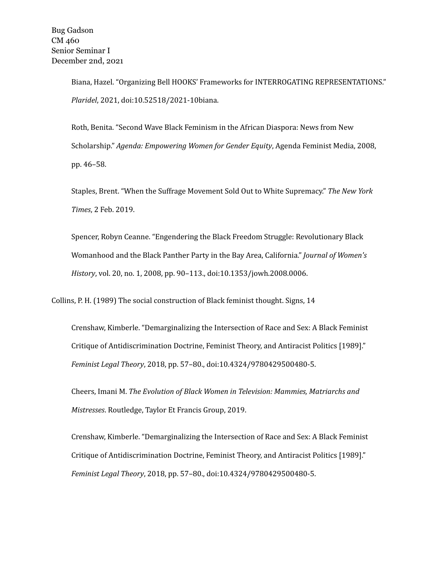Biana, Hazel. "Organizing Bell HOOKS' Frameworks for INTERROGATING REPRESENTATIONS." *Plaridel*, 2021, doi:10.52518/2021-10biana.

Roth, Benita. "Second Wave Black Feminism in the African Diaspora: News from New Scholarship." *Agenda: Empowering Women for Gender Equity*, Agenda Feminist Media, 2008, pp. 46–58.

Staples, Brent. "When the Suffrage Movement Sold Out to White Supremacy." *The New York Times*, 2 Feb. 2019.

Spencer, Robyn Ceanne. "Engendering the Black Freedom Struggle: Revolutionary Black Womanhood and the Black Panther Party in the Bay Area, California." *Journal of Women's History*, vol. 20, no. 1, 2008, pp. 90–113., doi:10.1353/jowh.2008.0006.

Collins, P. H. (1989) The social construction of Black feminist thought. Signs, 14

Crenshaw, Kimberle. "Demarginalizing the Intersection of Race and Sex: A Black Feminist Critique of Antidiscrimination Doctrine, Feminist Theory, and Antiracist Politics [1989]." *Feminist Legal Theory*, 2018, pp. 57–80., doi:10.4324/9780429500480-5.

Cheers, Imani M. *The Evolution of Black Women in Television: Mammies, Matriarchs and Mistresses*. Routledge, Taylor Et Francis Group, 2019.

Crenshaw, Kimberle. "Demarginalizing the Intersection of Race and Sex: A Black Feminist Critique of Antidiscrimination Doctrine, Feminist Theory, and Antiracist Politics [1989]." *Feminist Legal Theory*, 2018, pp. 57–80., doi:10.4324/9780429500480-5.